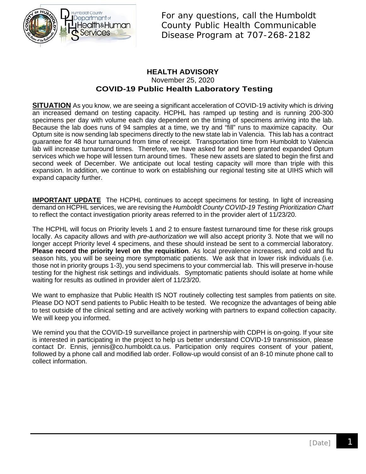

For any questions, call the Humboldt County Public Health Communicable Disease Program at 707-268-2182

### **HEALTH ADVISORY** November 25, 2020 **COVID-19 Public Health Laboratory Testing**

**SITUATION** As you know, we are seeing a significant acceleration of COVID-19 activity which is driving an increased demand on testing capacity. HCPHL has ramped up testing and is running 200-300 specimens per day with volume each day dependent on the timing of specimens arriving into the lab. Because the lab does runs of 94 samples at a time, we try and "fill" runs to maximize capacity. Our Optum site is now sending lab specimens directly to the new state lab in Valencia. This lab has a contract guarantee for 48 hour turnaround from time of receipt. Transportation time from Humboldt to Valencia lab will increase turnaround times. Therefore, we have asked for and been granted expanded Optum services which we hope will lessen turn around times. These new assets are slated to begin the first and second week of December. We anticipate out local testing capacity will more than triple with this expansion. In addition, we continue to work on establishing our regional testing site at UIHS which will expand capacity further.

**IMPORTANT UPDATE** The HCPHL continues to accept specimens for testing. In light of increasing demand on HCPHL services, we are revising the *Humboldt County COVID-19 Testing Prioritization Chart* to reflect the contact investigation priority areas referred to in the provider alert of 11/23/20.

The HCPHL will focus on Priority levels 1 and 2 to ensure fastest turnaround time for these risk groups locally. As capacity allows and with *pre-authorization* we will also accept priority 3. Note that we will no longer accept Priority level 4 specimens, and these should instead be sent to a commercial laboratory. **Please record the priority level on the requisition**. As local prevalence increases, and cold and flu season hits, you will be seeing more symptomatic patients. We ask that in lower risk individuals (i.e. those not in priority groups 1-3), you send specimens to your commercial lab. This will preserve in-house testing for the highest risk settings and individuals. Symptomatic patients should isolate at home while waiting for results as outlined in provider alert of 11/23/20.

We want to emphasize that Public Health IS NOT routinely collecting test samples from patients on site. Please DO NOT send patients to Public Health to be tested. We recognize the advantages of being able to test outside of the clinical setting and are actively working with partners to expand collection capacity. We will keep you informed.

We remind you that the COVID-19 surveillance project in partnership with CDPH is on-going. If your site is interested in participating in the project to help us better understand COVID-19 transmission, please contact Dr. Ennis, jennis@co.humboldt.ca.us. Participation only requires consent of your patient, followed by a phone call and modified lab order. Follow-up would consist of an 8-10 minute phone call to collect information.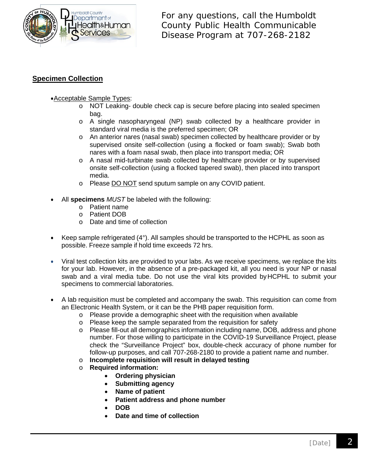

For any questions, call the Humboldt County Public Health Communicable Disease Program at 707-268-2182

## **Specimen Collection**

### •Acceptable Sample Types:

- o NOT Leaking- double check cap is secure before placing into sealed specimen bag.
- o A single nasopharyngeal (NP) swab collected by a healthcare provider in standard viral media is the preferred specimen; OR
- o An anterior nares (nasal swab) specimen collected by healthcare provider or by supervised onsite self-collection (using a flocked or foam swab); Swab both nares with a foam nasal swab, then place into transport media; OR
- o A nasal mid-turbinate swab collected by healthcare provider or by supervised onsite self-collection (using a flocked tapered swab), then placed into transport media.
- o Please **DO NOT** send sputum sample on any COVID patient.
- All **specimens** *MUST* be labeled with the following:
	- o Patient name
	- o Patient DOB
	- o Date and time of collection
- Keep sample refrigerated (4°). All samples should be transported to the HCPHL as soon as possible. Freeze sample if hold time exceeds 72 hrs.
- Viral test collection kits are provided to your labs. As we receive specimens, we replace the kits for your lab. However, in the absence of a pre-packaged kit, all you need is your NP or nasal swab and a viral media tube. Do not use the viral kits provided byHCPHL to submit your specimens to commercial laboratories.
- A lab requisition must be completed and accompany the swab. This requisition can come from an Electronic Health System, or it can be the PHB paper requisition form.
	- o Please provide a demographic sheet with the requisition when available
	- o Please keep the sample separated from the requisition for safety
	- o Please fill-out all demographics information including name, DOB, address and phone number. For those willing to participate in the COVID-19 Surveillance Project, please check the "Surveillance Project" box, double-check accuracy of phone number for follow-up purposes, and call 707-268-2180 to provide a patient name and number.
	- o **Incomplete requisition will result in delayed testing**
	- o **Required information:** 
		- **Ordering physician**
		- **Submitting agency**
		- **Name of patient**
		- **Patient address and phone number**
		- **DOB**
		- **Date and time of collection**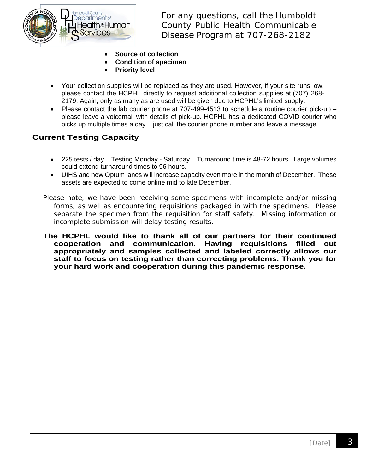

For any questions, call the Humboldt County Public Health Communicable Disease Program at 707-268-2182

- **Source of collection**
- **Condition of specimen**
- **Priority level**
- Your collection supplies will be replaced as they are used. However, if your site runs low, please contact the HCPHL directly to request additional collection supplies at (707) 268- 2179. Again, only as many as are used will be given due to HCPHL's limited supply.
- Please contact the lab courier phone at 707-499-4513 to schedule a routine courier pick-up please leave a voicemail with details of pick-up. HCPHL has a dedicated COVID courier who picks up multiple times a day – just call the courier phone number and leave a message.

## **Current Testing Capacity**

- 225 tests / day Testing Monday Saturday Turnaround time is 48-72 hours. Large volumes could extend turnaround times to 96 hours.
- UIHS and new Optum lanes will increase capacity even more in the month of December. These assets are expected to come online mid to late December.
- Please note, we have been receiving some specimens with incomplete and/or missing forms, as well as encountering requisitions packaged in with the specimens. Please separate the specimen from the requisition for staff safety. Missing information or incomplete submission will delay testing results.
- **The HCPHL would like to thank all of our partners for their continued cooperation and communication. Having requisitions filled out appropriately and samples collected and labeled correctly allows our staff to focus on testing rather than correcting problems. Thank you for your hard work and cooperation during this pandemic response.**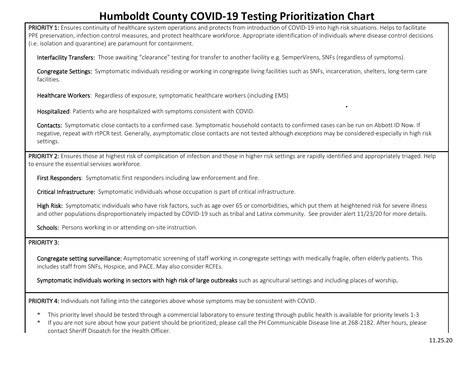# **Humboldt County COVID-19 Testing Prioritization Chart**

PRIORITY 1: Ensures continuity of healthcare system operations and protects from introduction of COVID-19 into high risk situations. Helps to facilitate PPE preservation, infection control measures, and protect healthcare workforce. Appropriate identification of individuals where disease control decisions (i.e. isolation and quarantine) are paramount for containment.

Interfacility Transfers: Those awaiting "clearance" testing for transfer to another facility e.g. SemperVirens, SNFs (regardless of symptoms).

Congregate Settings: Symptomatic individuals residing or working in congregate living facilities such as SNFs, incarceration, shelters, long-term care facilities.

Healthcare Workers: Regardless of exposure, symptomatic healthcare workers (including EMS)

Hospitalized: Patients who are hospitalized with symptoms consistent with COVID.

Contacts: Symptomatic close contacts to a confirmed case. Symptomatic household contacts to confirmed cases can be run on Abbott ID Now. If negative, repeat with rtPCR test. Generally, asymptomatic close contacts are not tested although *exceptions* may be considered-especially in high risk settings.

.

PRIORITY 2: Ensures those at highest risk of complication of infection and those in higher risk settings are rapidly identified and appropriately triaged. Help to ensure the essential services workforce.

First Responders: Symptomatic first responders including law enforcement and fire.

Critical Infrastructure: Symptomatic individuals whose occupation is part of critical infrastructure.

High Risk: Symptomatic individuals who have risk factors, such as age over 65 or comorbidities, which put them at heightened risk for severe illness and other populations disproportionately impacted by COVID-19 such as tribal and Latinx community. See provider alert 11/23/20 for more details.

Schools: Persons working in or attending on-site instruction.

#### PRIORITY 3:

Congregate setting surveillance: Asymptomatic screening of staff working in congregate settings with medically fragile, often elderly patients. This includes staff from SNFs, Hospice, and PACE. May also consider RCFEs.

Symptomatic individuals working in sectors with high risk of large outbreaks such as agricultural settings and including places of worship.

PRIORITY 4: Individuals not falling into the categories above whose symptoms may be consistent with COVID.

- \* This priority level should be tested through a commercial laboratory to ensure testing through public health is available for priority levels 1-3
- If you are not sure about how your patient should be prioritized, please call the PH Communicable Disease line at 268-2182. After hours, please contact Sheriff Dispatch for the Health Officer.